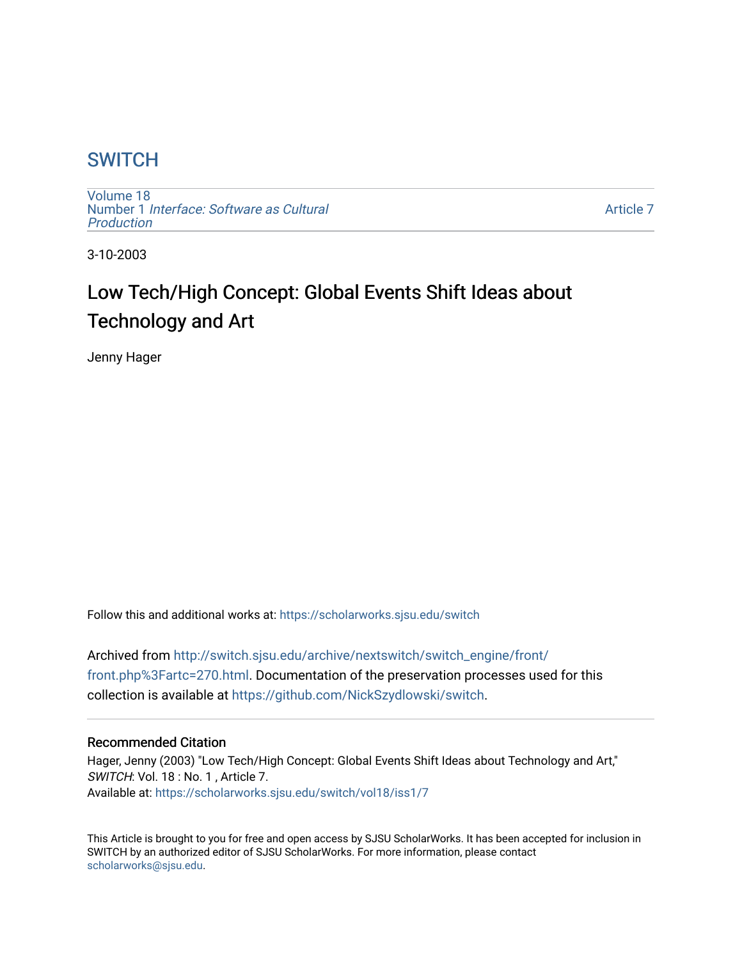## **SWITCH**

[Volume 18](https://scholarworks.sjsu.edu/switch/vol18) Number 1 [Interface: Software as Cultural](https://scholarworks.sjsu.edu/switch/vol18/iss1)  [Production](https://scholarworks.sjsu.edu/switch/vol18/iss1)

[Article 7](https://scholarworks.sjsu.edu/switch/vol18/iss1/7) 

3-10-2003

## Low Tech/High Concept: Global Events Shift Ideas about Technology and Art

Jenny Hager

Follow this and additional works at: [https://scholarworks.sjsu.edu/switch](https://scholarworks.sjsu.edu/switch?utm_source=scholarworks.sjsu.edu%2Fswitch%2Fvol18%2Fiss1%2F7&utm_medium=PDF&utm_campaign=PDFCoverPages)

Archived from [http://switch.sjsu.edu/archive/nextswitch/switch\\_engine/front/](http://switch.sjsu.edu/archive/nextswitch/switch_engine/front/front.php%3Fartc=270.html) [front.php%3Fartc=270.html.](http://switch.sjsu.edu/archive/nextswitch/switch_engine/front/front.php%3Fartc=270.html) Documentation of the preservation processes used for this collection is available at [https://github.com/NickSzydlowski/switch.](https://github.com/NickSzydlowski/switch)

## Recommended Citation

Hager, Jenny (2003) "Low Tech/High Concept: Global Events Shift Ideas about Technology and Art," SWITCH: Vol. 18 : No. 1 , Article 7. Available at: [https://scholarworks.sjsu.edu/switch/vol18/iss1/7](https://scholarworks.sjsu.edu/switch/vol18/iss1/7?utm_source=scholarworks.sjsu.edu%2Fswitch%2Fvol18%2Fiss1%2F7&utm_medium=PDF&utm_campaign=PDFCoverPages) 

This Article is brought to you for free and open access by SJSU ScholarWorks. It has been accepted for inclusion in SWITCH by an authorized editor of SJSU ScholarWorks. For more information, please contact [scholarworks@sjsu.edu](mailto:scholarworks@sjsu.edu).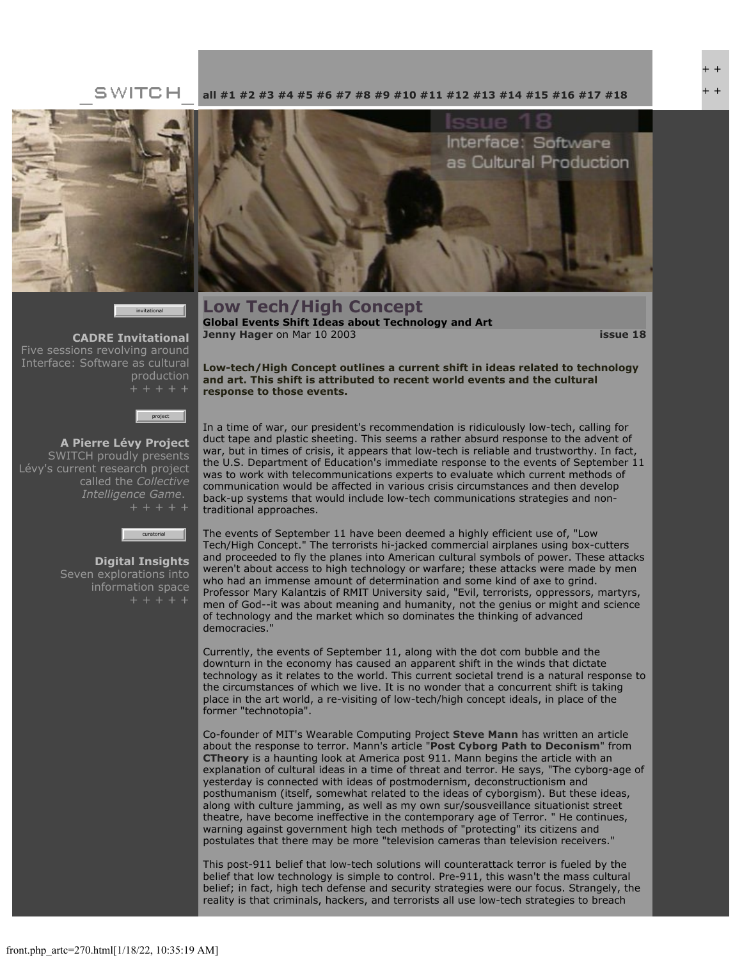## SWITCH



invitational

**[CADRE Invitational](file:///Users/nszydlowski/Desktop/websites%20copy/Switch%20Journal/switch.sjsu.edu/archive/nextswitch/switch_engine/front/front.php_cat%3d45.html)** Five sessions revolving around Interface: Software as cultural production



**[A Pierre Lévy Project](file:///Users/nszydlowski/Desktop/websites%20copy/Switch%20Journal/switch.sjsu.edu/archive/nextswitch/switch_engine/front/front.php_cat%3d48.html)** SWITCH proudly presents Lévy's current research project called the *Collective Intelligence Game*.



**[Digital Insights](file:///Users/nszydlowski/Desktop/websites%20copy/Switch%20Journal/switch.sjsu.edu/archive/nextswitch/switch_engine/front/front.php_cat%3d46.html)** Seven explorations into information space

Interface: Software as Cultural Production

**[all](file:///Users/nszydlowski/Desktop/websites%20copy/Switch%20Journal/switch.sjsu.edu/archive/nextswitch/switch_engine/front/front.php.html) [#1](file:///Users/nszydlowski/Desktop/websites%20copy/Switch%20Journal/switch.sjsu.edu/archive/nextswitch/switch_engine/front/front.php_cat%3d5.html) [#2](file:///Users/nszydlowski/Desktop/websites%20copy/Switch%20Journal/switch.sjsu.edu/archive/nextswitch/switch_engine/front/front.php_cat%3d6.html) [#3](file:///Users/nszydlowski/Desktop/websites%20copy/Switch%20Journal/switch.sjsu.edu/archive/nextswitch/switch_engine/front/front.php_cat%3d7.html) [#4](file:///Users/nszydlowski/Desktop/websites%20copy/Switch%20Journal/switch.sjsu.edu/archive/nextswitch/switch_engine/front/front.php_cat%3d8.html) [#5](file:///Users/nszydlowski/Desktop/websites%20copy/Switch%20Journal/switch.sjsu.edu/archive/nextswitch/switch_engine/front/front.php_cat%3d9.html) [#6](file:///Users/nszydlowski/Desktop/websites%20copy/Switch%20Journal/switch.sjsu.edu/archive/nextswitch/switch_engine/front/front.php_cat%3d10.html) [#7](file:///Users/nszydlowski/Desktop/websites%20copy/Switch%20Journal/switch.sjsu.edu/archive/nextswitch/switch_engine/front/front.php_cat%3d11.html) [#8](file:///Users/nszydlowski/Desktop/websites%20copy/Switch%20Journal/switch.sjsu.edu/archive/nextswitch/switch_engine/front/front.php_cat%3d12.html) [#9](file:///Users/nszydlowski/Desktop/websites%20copy/Switch%20Journal/switch.sjsu.edu/archive/nextswitch/switch_engine/front/front.php_cat%3d13.html) [#10](file:///Users/nszydlowski/Desktop/websites%20copy/Switch%20Journal/switch.sjsu.edu/archive/nextswitch/switch_engine/front/front.php_cat%3d14.html) [#11](file:///Users/nszydlowski/Desktop/websites%20copy/Switch%20Journal/switch.sjsu.edu/archive/nextswitch/switch_engine/front/front.php_cat%3d15.html) [#12](file:///Users/nszydlowski/Desktop/websites%20copy/Switch%20Journal/switch.sjsu.edu/archive/nextswitch/switch_engine/front/front.php_cat%3d16.html) [#13](file:///Users/nszydlowski/Desktop/websites%20copy/Switch%20Journal/switch.sjsu.edu/archive/nextswitch/switch_engine/front/front.php_cat%3d17.html) [#14](file:///Users/nszydlowski/Desktop/websites%20copy/Switch%20Journal/switch.sjsu.edu/archive/nextswitch/switch_engine/front/front.php_cat%3d18.html) [#15](file:///Users/nszydlowski/Desktop/websites%20copy/Switch%20Journal/switch.sjsu.edu/archive/nextswitch/switch_engine/front/front.php_cat%3d19.html) [#16](file:///Users/nszydlowski/Desktop/websites%20copy/Switch%20Journal/switch.sjsu.edu/archive/nextswitch/switch_engine/front/front.php_cat%3d20.html) [#17](file:///Users/nszydlowski/Desktop/websites%20copy/Switch%20Journal/switch.sjsu.edu/archive/nextswitch/switch_engine/front/front.php_cat%3d21.html) [#18](file:///Users/nszydlowski/Desktop/websites%20copy/Switch%20Journal/switch.sjsu.edu/archive/nextswitch/switch_engine/front/front.php_cat%3d44.html)**

**Low Tech/High Concept Global Events Shift Ideas about Technology and Art [Jenny Hager](file:///Users/nszydlowski/Desktop/websites%20copy/Switch%20Journal/switch.sjsu.edu/archive/nextswitch/switch_engine/front/users.php_w%3d95.html)** on Mar 10 2003 **[issue 18](file:///Users/nszydlowski/Desktop/websites%20copy/Switch%20Journal/switch.sjsu.edu/archive/nextswitch/switch_engine/front/front.php_cat%3d44.html)**

**Low-tech/High Concept outlines a current shift in ideas related to technology and art. This shift is attributed to recent world events and the cultural response to those events.**

In a time of war, our president's recommendation is ridiculously low-tech, calling for duct tape and plastic sheeting. This seems a rather absurd response to the advent of war, but in times of crisis, it appears that low-tech is reliable and trustworthy. In fact, the U.S. Department of Education's immediate response to the events of September 11 was to work with telecommunications experts to evaluate which current methods of communication would be affected in various crisis circumstances and then develop back-up systems that would include low-tech communications strategies and nontraditional approaches.

The events of September 11 have been deemed a highly efficient use of, "Low Tech/High Concept." The terrorists hi-jacked commercial airplanes using box-cutters and proceeded to fly the planes into American cultural symbols of power. These attacks weren't about access to high technology or warfare; these attacks were made by men who had an immense amount of determination and some kind of axe to grind. Professor Mary Kalantzis of RMIT University said, "Evil, terrorists, oppressors, martyrs, men of God--it was about meaning and humanity, not the genius or might and science of technology and the market which so dominates the thinking of advanced democracies."

Currently, the events of September 11, along with the dot com bubble and the downturn in the economy has caused an apparent shift in the winds that dictate technology as it relates to the world. This current societal trend is a natural response to the circumstances of which we live. It is no wonder that a concurrent shift is taking place in the art world, a re-visiting of low-tech/high concept ideals, in place of the former "technotopia".

Co-founder of MIT's Wearable Computing Project **[Steve Mann](http://www.eecg.toronto.edu/~mann/)** has written an article about the response to terror. Mann's article "**[Post Cyborg Path to Deconism](http://ctheory.net/text_file.asp?pick=368)**" from **[CTheory](http://ctheory.net/)** is a haunting look at America post 911. Mann begins the article with an explanation of cultural ideas in a time of threat and terror. He says, "The cyborg-age of yesterday is connected with ideas of postmodernism, deconstructionism and posthumanism (itself, somewhat related to the ideas of cyborgism). But these ideas, along with culture jamming, as well as my own sur/sousveillance situationist street theatre, have become ineffective in the contemporary age of Terror. " He continues, warning against government high tech methods of "protecting" its citizens and postulates that there may be more "television cameras than television receivers."

This post-911 belief that low-tech solutions will counterattack terror is fueled by the belief that low technology is simple to control. Pre-911, this wasn't the mass cultural belief; in fact, high tech defense and security strategies were our focus. Strangely, the reality is that criminals, hackers, and terrorists all use low-tech strategies to breach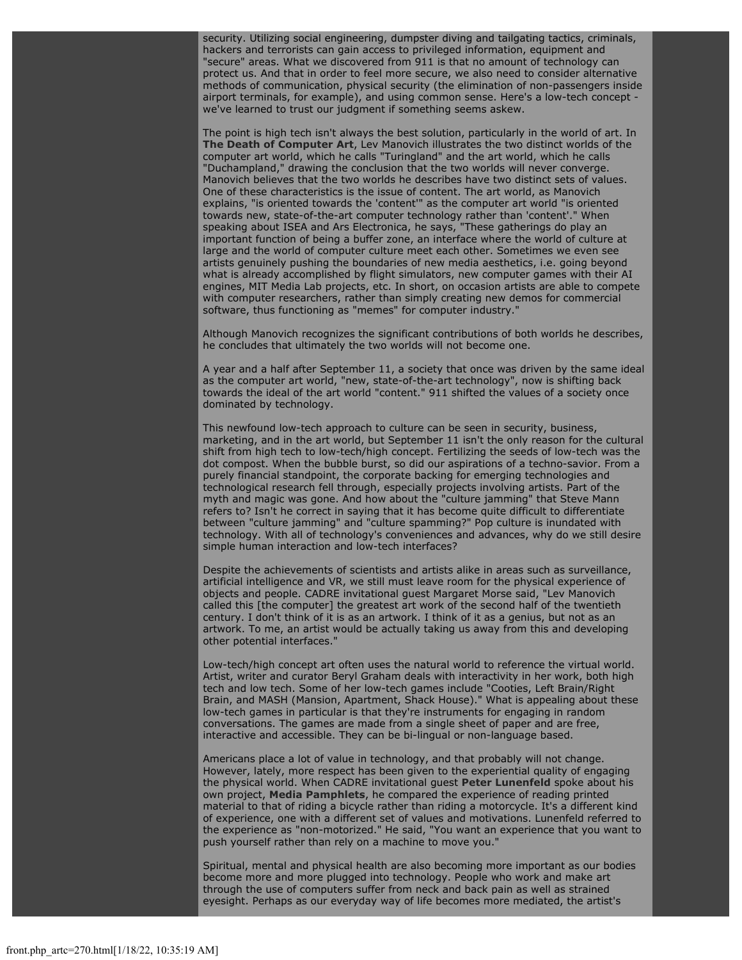security. Utilizing social engineering, dumpster diving and tailgating tactics, criminals, hackers and terrorists can gain access to privileged information, equipment and "secure" areas. What we discovered from 911 is that no amount of technology can protect us. And that in order to feel more secure, we also need to consider alternative methods of communication, physical security (the elimination of non-passengers inside airport terminals, for example), and using common sense. Here's a low-tech concept we've learned to trust our judgment if something seems askew.

The point is high tech isn't always the best solution, particularly in the world of art. In **[The Death of Computer Art](http://www.thenetnet.com/schmeb/schmeb12.html)**, Lev Manovich illustrates the two distinct worlds of the computer art world, which he calls "Turingland" and the art world, which he calls "Duchampland," drawing the conclusion that the two worlds will never converge. Manovich believes that the two worlds he describes have two distinct sets of values. One of these characteristics is the issue of content. The art world, as Manovich explains, "is oriented towards the 'content'" as the computer art world "is oriented towards new, state-of-the-art computer technology rather than 'content'." When speaking about ISEA and Ars Electronica, he says, "These gatherings do play an important function of being a buffer zone, an interface where the world of culture at large and the world of computer culture meet each other. Sometimes we even see artists genuinely pushing the boundaries of new media aesthetics, i.e. going beyond what is already accomplished by flight simulators, new computer games with their AI engines, MIT Media Lab projects, etc. In short, on occasion artists are able to compete with computer researchers, rather than simply creating new demos for commercial software, thus functioning as "memes" for computer industry."

Although Manovich recognizes the significant contributions of both worlds he describes, he concludes that ultimately the two worlds will not become one.

A year and a half after September 11, a society that once was driven by the same ideal as the computer art world, "new, state-of-the-art technology", now is shifting back towards the ideal of the art world "content." 911 shifted the values of a society once dominated by technology.

This newfound low-tech approach to culture can be seen in security, business, marketing, and in the art world, but September 11 isn't the only reason for the cultural shift from high tech to low-tech/high concept. Fertilizing the seeds of low-tech was the dot compost. When the bubble burst, so did our aspirations of a techno-savior. From a purely financial standpoint, the corporate backing for emerging technologies and technological research fell through, especially projects involving artists. Part of the myth and magic was gone. And how about the "culture jamming" that Steve Mann refers to? Isn't he correct in saying that it has become quite difficult to differentiate between "culture jamming" and "culture spamming?" Pop culture is inundated with technology. With all of technology's conveniences and advances, why do we still desire simple human interaction and low-tech interfaces?

Despite the achievements of scientists and artists alike in areas such as surveillance, artificial intelligence and VR, we still must leave room for the physical experience of objects and people. CADRE invitational guest Margaret Morse said, "Lev Manovich called this [the computer] the greatest art work of the second half of the twentieth century. I don't think of it is as an artwork. I think of it as a genius, but not as an artwork. To me, an artist would be actually taking us away from this and developing other potential interfaces."

Low-tech/high concept art often uses the natural world to reference the virtual world. Artist, writer and curator Beryl Graham deals with interactivity in her work, both high tech and low tech. Some of her low-tech games include "Cooties, Left Brain/Right Brain, and MASH (Mansion, Apartment, Shack House)." What is appealing about these low-tech games in particular is that they're instruments for engaging in random conversations. The games are made from a single sheet of paper and are free, interactive and accessible. They can be bi-lingual or non-language based.

Americans place a lot of value in technology, and that probably will not change. However, lately, more respect has been given to the experiential quality of engaging the physical world. When CADRE invitational guest **[Peter Lunenfeld](http://mdp.artcenter.edu/~sbaki/m1/lunensite_v1/index.html)** spoke about his own project, **[Media Pamphlets](http://mitpress.mit.edu/e-books/mediawork/mediawork_lunenfeld.html)**, he compared the experience of reading printed material to that of riding a bicycle rather than riding a motorcycle. It's a different kind of experience, one with a different set of values and motivations. Lunenfeld referred to the experience as "non-motorized." He said, "You want an experience that you want to push yourself rather than rely on a machine to move you."

Spiritual, mental and physical health are also becoming more important as our bodies become more and more plugged into technology. People who work and make art through the use of computers suffer from neck and back pain as well as strained eyesight. Perhaps as our everyday way of life becomes more mediated, the artist's